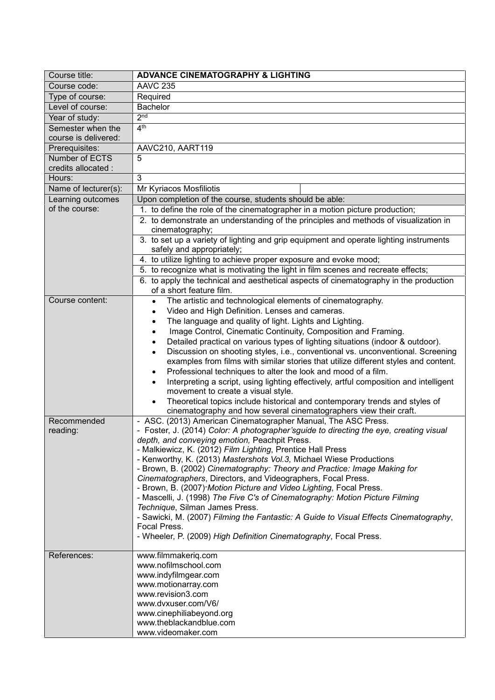| Course title:                    | <b>ADVANCE CINEMATOGRAPHY &amp; LIGHTING</b>                                                                                                     |
|----------------------------------|--------------------------------------------------------------------------------------------------------------------------------------------------|
| Course code:                     | <b>AAVC 235</b>                                                                                                                                  |
| Type of course:                  | Required                                                                                                                                         |
| Level of course:                 | <b>Bachelor</b>                                                                                                                                  |
| Year of study:                   | 2 <sub>nd</sub>                                                                                                                                  |
| Semester when the                | 4 <sup>th</sup>                                                                                                                                  |
| course is delivered:             |                                                                                                                                                  |
| Prerequisites:<br>Number of ECTS | AAVC210, AART119<br>5                                                                                                                            |
| credits allocated :              |                                                                                                                                                  |
| Hours:                           | 3                                                                                                                                                |
| Name of lecturer(s):             | Mr Kyriacos Mosfiliotis                                                                                                                          |
| Learning outcomes                | Upon completion of the course, students should be able:                                                                                          |
| of the course:                   | 1. to define the role of the cinematographer in a motion picture production;                                                                     |
|                                  | 2. to demonstrate an understanding of the principles and methods of visualization in                                                             |
|                                  | cinematography;                                                                                                                                  |
|                                  | 3. to set up a variety of lighting and grip equipment and operate lighting instruments                                                           |
|                                  | safely and appropriately;                                                                                                                        |
|                                  | 4. to utilize lighting to achieve proper exposure and evoke mood;                                                                                |
|                                  | 5. to recognize what is motivating the light in film scenes and recreate effects;                                                                |
|                                  | 6. to apply the technical and aesthetical aspects of cinematography in the production<br>of a short feature film.                                |
| Course content:                  | The artistic and technological elements of cinematography.<br>$\bullet$                                                                          |
|                                  | Video and High Definition. Lenses and cameras.<br>$\bullet$                                                                                      |
|                                  | The language and quality of light. Lights and Lighting.<br>$\bullet$                                                                             |
|                                  | Image Control, Cinematic Continuity, Composition and Framing.                                                                                    |
|                                  | Detailed practical on various types of lighting situations (indoor & outdoor).                                                                   |
|                                  | Discussion on shooting styles, i.e., conventional vs. unconventional. Screening                                                                  |
|                                  | examples from films with similar stories that utilize different styles and content.                                                              |
|                                  | Professional techniques to alter the look and mood of a film.<br>٠                                                                               |
|                                  | Interpreting a script, using lighting effectively, artful composition and intelligent                                                            |
|                                  | movement to create a visual style.                                                                                                               |
|                                  | Theoretical topics include historical and contemporary trends and styles of<br>cinematography and how several cinematographers view their craft. |
| Recommended                      | - ASC. (2013) American Cinematographer Manual, The ASC Press.                                                                                    |
| reading:                         | - Foster, J. (2014) Color: A photographer'sguide to directing the eye, creating visual                                                           |
|                                  | depth, and conveying emotion, Peachpit Press.                                                                                                    |
|                                  | - Malkiewicz, K. (2012) Film Lighting, Prentice Hall Press                                                                                       |
|                                  | - Kenworthy, K. (2013) Mastershots Vol.3, Michael Wiese Productions                                                                              |
|                                  | - Brown, B. (2002) Cinematography: Theory and Practice: Image Making for<br>Cinematographers, Directors, and Videographers, Focal Press.         |
|                                  | - Brown, B. (2007)-Motion Picture and Video Lighting, Focal Press.                                                                               |
|                                  | - Mascelli, J. (1998) The Five C's of Cinematography: Motion Picture Filming                                                                     |
|                                  | Technique, Silman James Press.                                                                                                                   |
|                                  | - Sawicki, M. (2007) Filming the Fantastic: A Guide to Visual Effects Cinematography,                                                            |
|                                  | Focal Press.                                                                                                                                     |
|                                  | - Wheeler, P. (2009) High Definition Cinematography, Focal Press.                                                                                |
| References:                      | www.filmmakeriq.com                                                                                                                              |
|                                  | www.nofilmschool.com                                                                                                                             |
|                                  | www.indyfilmgear.com                                                                                                                             |
|                                  | www.motionarray.com                                                                                                                              |
|                                  | www.revision3.com                                                                                                                                |
|                                  | www.dvxuser.com/V6/                                                                                                                              |
|                                  | www.cinephiliabeyond.org<br>www.theblackandblue.com                                                                                              |
|                                  | www.videomaker.com                                                                                                                               |